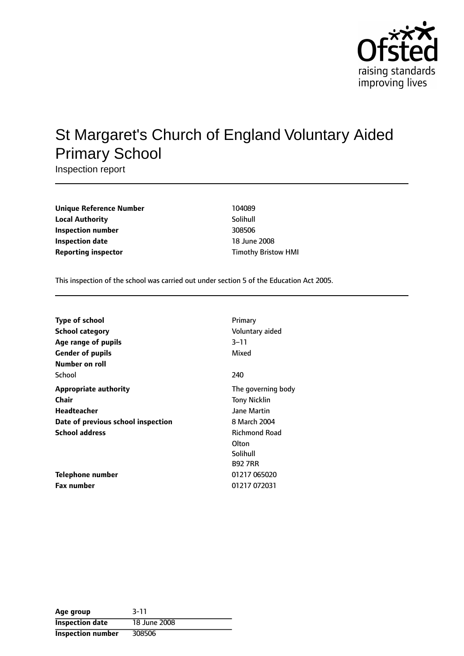

# St Margaret's Church of England Voluntary Aided Primary School

Inspection report

| <b>Unique Reference Number</b> | 104089                     |
|--------------------------------|----------------------------|
| <b>Local Authority</b>         | Solihull                   |
| Inspection number              | 308506                     |
| Inspection date                | 18 June 2008               |
| <b>Reporting inspector</b>     | <b>Timothy Bristow HMI</b> |

This inspection of the school was carried out under section 5 of the Education Act 2005.

| <b>Type of school</b>              | Primary              |
|------------------------------------|----------------------|
| <b>School category</b>             | Voluntary aided      |
| Age range of pupils                | $3 - 11$             |
| <b>Gender of pupils</b>            | Mixed                |
| Number on roll                     |                      |
| School                             | 240                  |
| <b>Appropriate authority</b>       | The governing body   |
| Chair                              | <b>Tony Nicklin</b>  |
| Headteacher                        | Jane Martin          |
| Date of previous school inspection | 8 March 2004         |
| <b>School address</b>              | <b>Richmond Road</b> |
|                                    | Olton                |
|                                    | Solihull             |
|                                    | <b>B927RR</b>        |
| Telephone number                   | 01217 065020         |
| <b>Fax number</b>                  | 01217 072031         |

| Age group                | $3 - 11$     |
|--------------------------|--------------|
| <b>Inspection date</b>   | 18 June 2008 |
| <b>Inspection number</b> | 308506       |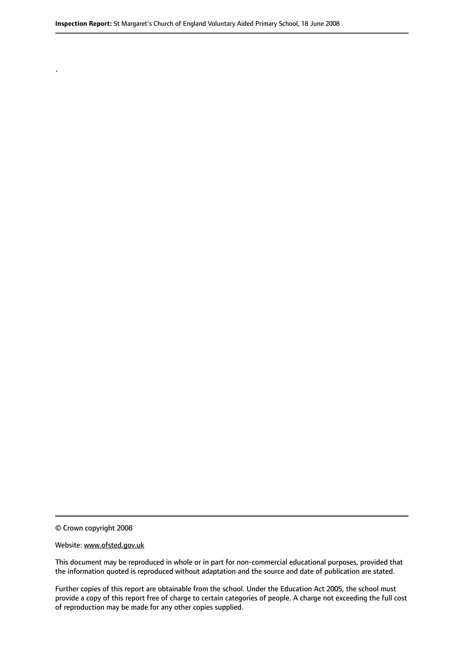© Crown copyright 2008

.

#### Website: www.ofsted.gov.uk

This document may be reproduced in whole or in part for non-commercial educational purposes, provided that the information quoted is reproduced without adaptation and the source and date of publication are stated.

Further copies of this report are obtainable from the school. Under the Education Act 2005, the school must provide a copy of this report free of charge to certain categories of people. A charge not exceeding the full cost of reproduction may be made for any other copies supplied.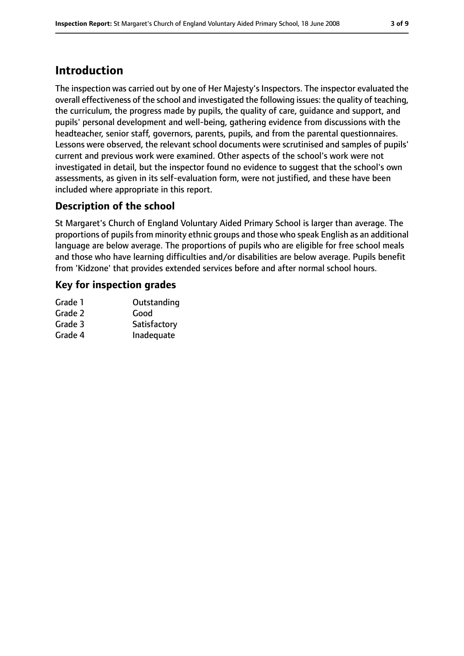# **Introduction**

The inspection was carried out by one of Her Majesty's Inspectors. The inspector evaluated the overall effectiveness of the school and investigated the following issues: the quality of teaching, the curriculum, the progress made by pupils, the quality of care, guidance and support, and pupils' personal development and well-being, gathering evidence from discussions with the headteacher, senior staff, governors, parents, pupils, and from the parental questionnaires. Lessons were observed, the relevant school documents were scrutinised and samples of pupils' current and previous work were examined. Other aspects of the school's work were not investigated in detail, but the inspector found no evidence to suggest that the school's own assessments, as given in its self-evaluation form, were not justified, and these have been included where appropriate in this report.

### **Description of the school**

St Margaret's Church of England Voluntary Aided Primary School is larger than average. The proportions of pupils from minority ethnic groups and those who speak English as an additional language are below average. The proportions of pupils who are eligible for free school meals and those who have learning difficulties and/or disabilities are below average. Pupils benefit from 'Kidzone' that provides extended services before and after normal school hours.

### **Key for inspection grades**

| Outstanding  |
|--------------|
| Good         |
| Satisfactory |
| Inadequate   |
|              |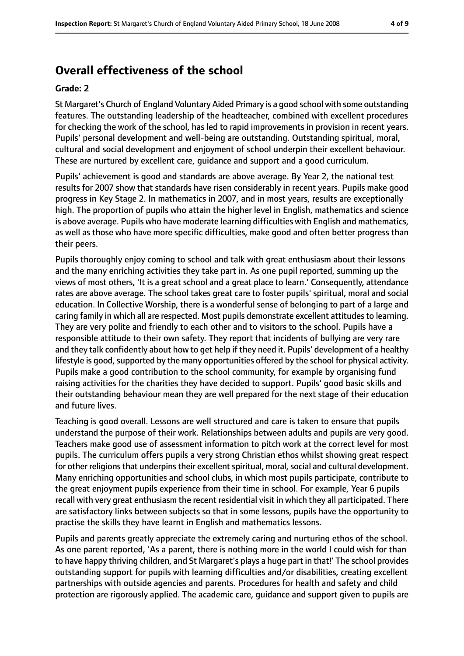# **Overall effectiveness of the school**

#### **Grade: 2**

St Margaret's Church of England Voluntary Aided Primary is a good school with some outstanding features. The outstanding leadership of the headteacher, combined with excellent procedures for checking the work of the school, has led to rapid improvements in provision in recent years. Pupils' personal development and well-being are outstanding. Outstanding spiritual, moral, cultural and social development and enjoyment of school underpin their excellent behaviour. These are nurtured by excellent care, guidance and support and a good curriculum.

Pupils' achievement is good and standards are above average. By Year 2, the national test results for 2007 show that standards have risen considerably in recent years. Pupils make good progress in Key Stage 2. In mathematics in 2007, and in most years, results are exceptionally high. The proportion of pupils who attain the higher level in English, mathematics and science is above average. Pupils who have moderate learning difficulties with English and mathematics, as well as those who have more specific difficulties, make good and often better progress than their peers.

Pupils thoroughly enjoy coming to school and talk with great enthusiasm about their lessons and the many enriching activities they take part in. As one pupil reported, summing up the views of most others, 'It is a great school and a great place to learn.' Consequently, attendance rates are above average. The school takes great care to foster pupils' spiritual, moral and social education. In Collective Worship, there is a wonderful sense of belonging to part of a large and caring family in which all are respected. Most pupils demonstrate excellent attitudes to learning. They are very polite and friendly to each other and to visitors to the school. Pupils have a responsible attitude to their own safety. They report that incidents of bullying are very rare and they talk confidently about how to get help if they need it. Pupils' development of a healthy lifestyle is good, supported by the many opportunities offered by the school for physical activity. Pupils make a good contribution to the school community, for example by organising fund raising activities for the charities they have decided to support. Pupils' good basic skills and their outstanding behaviour mean they are well prepared for the next stage of their education and future lives.

Teaching is good overall. Lessons are well structured and care is taken to ensure that pupils understand the purpose of their work. Relationships between adults and pupils are very good. Teachers make good use of assessment information to pitch work at the correct level for most pupils. The curriculum offers pupils a very strong Christian ethos whilst showing great respect for other religions that underpins their excellent spiritual, moral, social and cultural development. Many enriching opportunities and school clubs, in which most pupils participate, contribute to the great enjoyment pupils experience from their time in school. For example, Year 6 pupils recall with very great enthusiasm the recent residential visit in which they all participated. There are satisfactory links between subjects so that in some lessons, pupils have the opportunity to practise the skills they have learnt in English and mathematics lessons.

Pupils and parents greatly appreciate the extremely caring and nurturing ethos of the school. As one parent reported, 'As a parent, there is nothing more in the world I could wish for than to have happy thriving children, and St Margaret's plays a huge part in that!' The school provides outstanding support for pupils with learning difficulties and/or disabilities, creating excellent partnerships with outside agencies and parents. Procedures for health and safety and child protection are rigorously applied. The academic care, guidance and support given to pupils are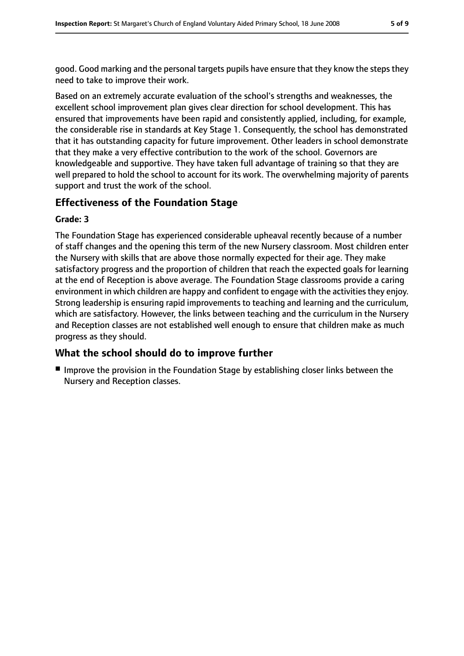good. Good marking and the personal targets pupils have ensure that they know the steps they need to take to improve their work.

Based on an extremely accurate evaluation of the school's strengths and weaknesses, the excellent school improvement plan gives clear direction for school development. This has ensured that improvements have been rapid and consistently applied, including, for example, the considerable rise in standards at Key Stage 1. Consequently, the school has demonstrated that it has outstanding capacity for future improvement. Other leaders in school demonstrate that they make a very effective contribution to the work of the school. Governors are knowledgeable and supportive. They have taken full advantage of training so that they are well prepared to hold the school to account for its work. The overwhelming majority of parents support and trust the work of the school.

### **Effectiveness of the Foundation Stage**

#### **Grade: 3**

The Foundation Stage has experienced considerable upheaval recently because of a number of staff changes and the opening this term of the new Nursery classroom. Most children enter the Nursery with skills that are above those normally expected for their age. They make satisfactory progress and the proportion of children that reach the expected goals for learning at the end of Reception is above average. The Foundation Stage classrooms provide a caring environment in which children are happy and confident to engage with the activities they enjoy. Strong leadership is ensuring rapid improvements to teaching and learning and the curriculum, which are satisfactory. However, the links between teaching and the curriculum in the Nursery and Reception classes are not established well enough to ensure that children make as much progress as they should.

#### **What the school should do to improve further**

■ Improve the provision in the Foundation Stage by establishing closer links between the Nursery and Reception classes.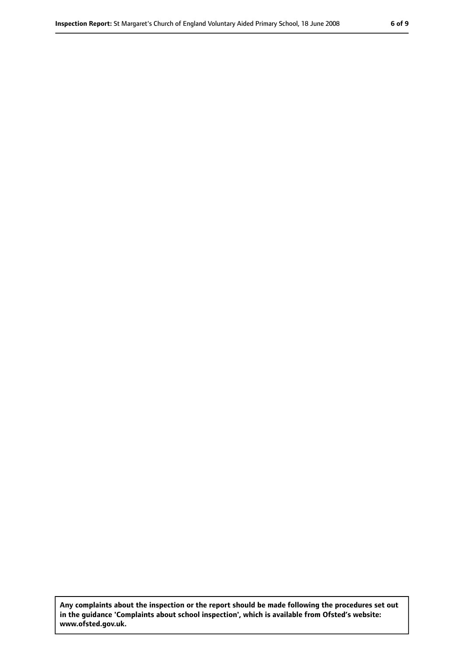**Any complaints about the inspection or the report should be made following the procedures set out in the guidance 'Complaints about school inspection', which is available from Ofsted's website: www.ofsted.gov.uk.**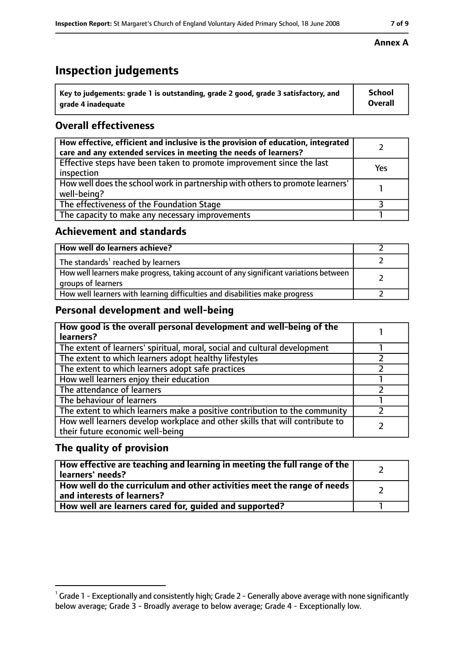# **Inspection judgements**

| $\degree$ Key to judgements: grade 1 is outstanding, grade 2 good, grade 3 satisfactory, and | School         |
|----------------------------------------------------------------------------------------------|----------------|
| arade 4 inadequate                                                                           | <b>Overall</b> |

### **Overall effectiveness**

| How effective, efficient and inclusive is the provision of education, integrated<br>care and any extended services in meeting the needs of learners? |     |
|------------------------------------------------------------------------------------------------------------------------------------------------------|-----|
| Effective steps have been taken to promote improvement since the last<br>inspection                                                                  | Yes |
| How well does the school work in partnership with others to promote learners'<br>well-being?                                                         |     |
| The effectiveness of the Foundation Stage                                                                                                            |     |
| The capacity to make any necessary improvements                                                                                                      |     |

#### **Achievement and standards**

| How well do learners achieve?                                                                               |  |
|-------------------------------------------------------------------------------------------------------------|--|
| The standards <sup>1</sup> reached by learners                                                              |  |
| How well learners make progress, taking account of any significant variations between<br>groups of learners |  |
| How well learners with learning difficulties and disabilities make progress                                 |  |

### **Personal development and well-being**

| How good is the overall personal development and well-being of the<br>learners?                                  |  |
|------------------------------------------------------------------------------------------------------------------|--|
| The extent of learners' spiritual, moral, social and cultural development                                        |  |
| The extent to which learners adopt healthy lifestyles                                                            |  |
| The extent to which learners adopt safe practices                                                                |  |
| How well learners enjoy their education                                                                          |  |
| The attendance of learners                                                                                       |  |
| The behaviour of learners                                                                                        |  |
| The extent to which learners make a positive contribution to the community                                       |  |
| How well learners develop workplace and other skills that will contribute to<br>their future economic well-being |  |

#### **The quality of provision**

| How effective are teaching and learning in meeting the full range of the<br>learners' needs?          |  |
|-------------------------------------------------------------------------------------------------------|--|
| How well do the curriculum and other activities meet the range of needs<br>and interests of learners? |  |
| How well are learners cared for, quided and supported?                                                |  |

#### **Annex A**

 $^1$  Grade 1 - Exceptionally and consistently high; Grade 2 - Generally above average with none significantly below average; Grade 3 - Broadly average to below average; Grade 4 - Exceptionally low.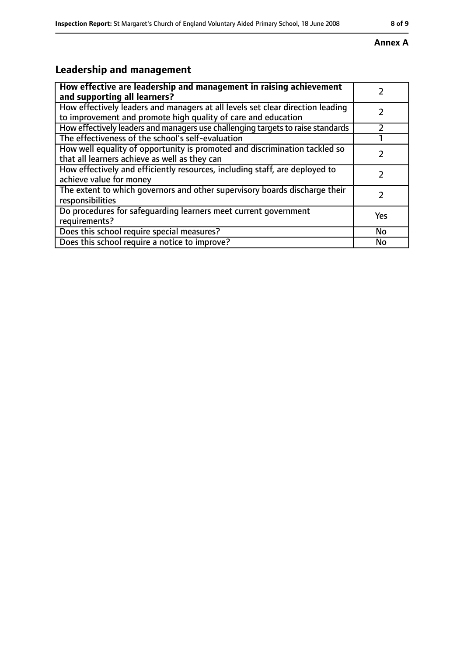#### **Annex A**

# **Leadership and management**

| How effective are leadership and management in raising achievement<br>and supporting all learners?                                              |     |
|-------------------------------------------------------------------------------------------------------------------------------------------------|-----|
| How effectively leaders and managers at all levels set clear direction leading<br>to improvement and promote high quality of care and education |     |
| How effectively leaders and managers use challenging targets to raise standards                                                                 |     |
| The effectiveness of the school's self-evaluation                                                                                               |     |
| How well equality of opportunity is promoted and discrimination tackled so<br>that all learners achieve as well as they can                     |     |
| How effectively and efficiently resources, including staff, are deployed to<br>achieve value for money                                          |     |
| The extent to which governors and other supervisory boards discharge their<br>responsibilities                                                  |     |
| Do procedures for safequarding learners meet current government<br>requirements?                                                                | Yes |
| Does this school require special measures?                                                                                                      | No  |
| Does this school require a notice to improve?                                                                                                   | No  |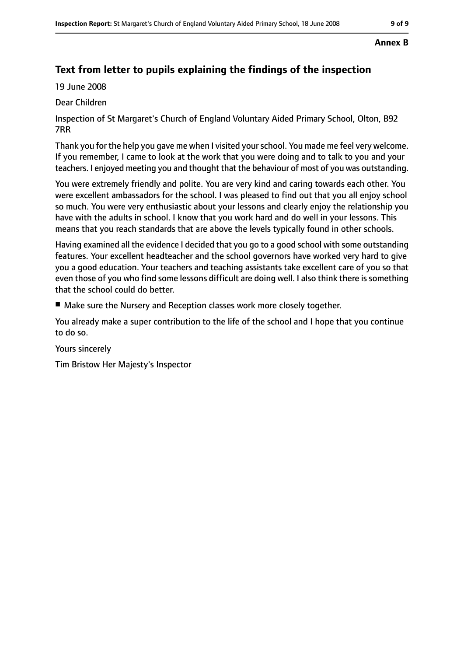#### **Annex B**

## **Text from letter to pupils explaining the findings of the inspection**

19 June 2008

#### Dear Children

Inspection of St Margaret's Church of England Voluntary Aided Primary School, Olton, B92 7RR

Thank you for the help you gave me when I visited yourschool. You made me feel very welcome. If you remember, I came to look at the work that you were doing and to talk to you and your teachers. I enjoyed meeting you and thought that the behaviour of most of you was outstanding.

You were extremely friendly and polite. You are very kind and caring towards each other. You were excellent ambassadors for the school. I was pleased to find out that you all enjoy school so much. You were very enthusiastic about your lessons and clearly enjoy the relationship you have with the adults in school. I know that you work hard and do well in your lessons. This means that you reach standards that are above the levels typically found in other schools.

Having examined all the evidence I decided that you go to a good school with some outstanding features. Your excellent headteacher and the school governors have worked very hard to give you a good education. Your teachers and teaching assistants take excellent care of you so that even those of you who find some lessons difficult are doing well. I also think there is something that the school could do better.

■ Make sure the Nursery and Reception classes work more closely together.

You already make a super contribution to the life of the school and I hope that you continue to do so.

Yours sincerely

Tim Bristow Her Majesty's Inspector